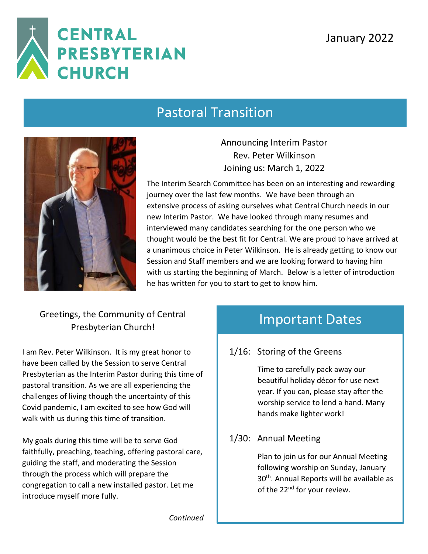

### Pastoral Transition



Announcing Interim Pastor Rev. Peter Wilkinson Joining us: March 1, 2022

The Interim Search Committee has been on an interesting and rewarding journey over the last few months. We have been through an extensive process of asking ourselves what Central Church needs in our new Interim Pastor. We have looked through many resumes and interviewed many candidates searching for the one person who we thought would be the best fit for Central. We are proud to have arrived at a unanimous choice in Peter Wilkinson. He is already getting to know our Session and Staff members and we are looking forward to having him with us starting the beginning of March. Below is a letter of introduction he has written for you to start to get to know him.

### Greetings, the Community of Central Presbyterian Church!

I am Rev. Peter Wilkinson. It is my great honor to have been called by the Session to serve Central Presbyterian as the Interim Pastor during this time of pastoral transition. As we are all experiencing the challenges of living though the uncertainty of this Covid pandemic, I am excited to see how God will walk with us during this time of transition.

My goals during this time will be to serve God faithfully, preaching, teaching, offering pastoral care, guiding the staff, and moderating the Session through the process which will prepare the congregation to call a new installed pastor. Let me introduce myself more fully.

### Important Dates

### 1/16: Storing of the Greens

Time to carefully pack away our beautiful holiday décor for use next year. If you can, please stay after the worship service to lend a hand. Many hands make light*er* work!

#### 1/30: Annual Meeting

Plan to join us for our Annual Meeting following worship on Sunday, January 30<sup>th</sup>. Annual Reports will be available as of the 22<sup>nd</sup> for your review.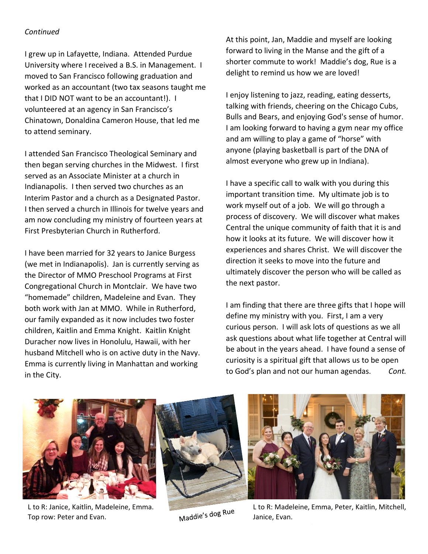#### *Continued*

I grew up in Lafayette, Indiana. Attended Purdue University where I received a B.S. in Management. I moved to San Francisco following graduation and worked as an accountant (two tax seasons taught me that I DID NOT want to be an accountant!). I volunteered at an agency in San Francisco's Chinatown, Donaldina Cameron House, that led me to attend seminary.

I attended San Francisco Theological Seminary and then began serving churches in the Midwest. I first served as an Associate Minister at a church in Indianapolis. I then served two churches as an Interim Pastor and a church as a Designated Pastor. I then served a church in Illinois for twelve years and am now concluding my ministry of fourteen years at First Presbyterian Church in Rutherford.

I have been married for 32 years to Janice Burgess (we met in Indianapolis). Jan is currently serving as the Director of MMO Preschool Programs at First Congregational Church in Montclair. We have two "homemade" children, Madeleine and Evan. They both work with Jan at MMO. While in Rutherford, our family expanded as it now includes two foster children, Kaitlin and Emma Knight. Kaitlin Knight Duracher now lives in Honolulu, Hawaii, with her husband Mitchell who is on active duty in the Navy. Emma is currently living in Manhattan and working in the City.

At this point, Jan, Maddie and myself are looking forward to living in the Manse and the gift of a shorter commute to work! Maddie's dog, Rue is a delight to remind us how we are loved!

I enjoy listening to jazz, reading, eating desserts, talking with friends, cheering on the Chicago Cubs, Bulls and Bears, and enjoying God's sense of humor. I am looking forward to having a gym near my office and am willing to play a game of "horse" with anyone (playing basketball is part of the DNA of almost everyone who grew up in Indiana).

I have a specific call to walk with you during this important transition time. My ultimate job is to work myself out of a job. We will go through a process of discovery. We will discover what makes Central the unique community of faith that it is and how it looks at its future. We will discover how it experiences and shares Christ. We will discover the direction it seeks to move into the future and ultimately discover the person who will be called as the next pastor.

I am finding that there are three gifts that I hope will define my ministry with you. First, I am a very curious person. I will ask lots of questions as we all ask questions about what life together at Central will be about in the years ahead. I have found a sense of curiosity is a spiritual gift that allows us to be open to God's plan and not our human agendas. *Cont.*



L to R: Janice, Kaitlin, Madeleine, Emma. Top row: Peter and Evan.



L to R: Madeleine, Emma, Peter, Kaitlin, Mitchell, Janice, Evan.

Maddie's dog Rue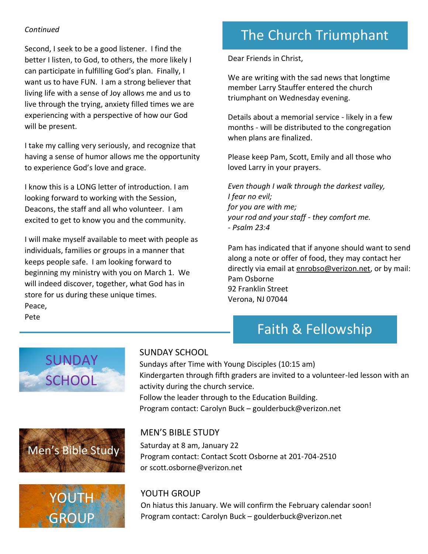#### *Continued*

Second, I seek to be a good listener. I find the better I listen, to God, to others, the more likely I can participate in fulfilling God's plan. Finally, I want us to have FUN. I am a strong believer that living life with a sense of Joy allows me and us to live through the trying, anxiety filled times we are experiencing with a perspective of how our God will be present.

I take my calling very seriously, and recognize that having a sense of humor allows me the opportunity to experience God's love and grace.

I know this is a LONG letter of introduction. I am looking forward to working with the Session, Deacons, the staff and all who volunteer. I am excited to get to know you and the community.

I will make myself available to meet with people as individuals, families or groups in a manner that keeps people safe. I am looking forward to beginning my ministry with you on March 1. We will indeed discover, together, what God has in store for us during these unique times. Peace, Pete

# The Church Triumphant

Dear Friends in Christ,

We are writing with the sad news that longtime member Larry Stauffer entered the church triumphant on Wednesday evening.

Details about a memorial service - likely in a few months - will be distributed to the congregation when plans are finalized.

Please keep Pam, Scott, Emily and all those who loved Larry in your prayers.

*Even though I walk through the darkest valley, I fear no evil; for you are with me; your rod and your staff - they comfort me. - Psalm 23:4*

Pam has indicated that if anyone should want to send along a note or offer of food, they may contact her directly via email at [enrobso@verizon.net,](mailto:enrobso@verizon.net) or by mail: Pam Osborne 92 Franklin Street Verona, NJ 07044

### Faith & Fellowship







#### SUNDAY SCHOOL

Sundays after Time with Young Disciples (10:15 am) Kindergarten through fifth graders are invited to a volunteer-led lesson with an activity during the church service. Follow the leader through to the Education Building. Program contact: Carolyn Buck – goulderbuck@verizon.net

#### MEN'S BIBLE STUDY

Saturday at 8 am, January 22 Program contact: Contact Scott Osborne at 201-704-2510 or [scott.osborne@verizon.net](mailto:scott.osborne@verizon.net)

#### YOUTH GROUP

On hiatus this January. We will confirm the February calendar soon! Program contact: Carolyn Buck – goulderbuck@verizon.net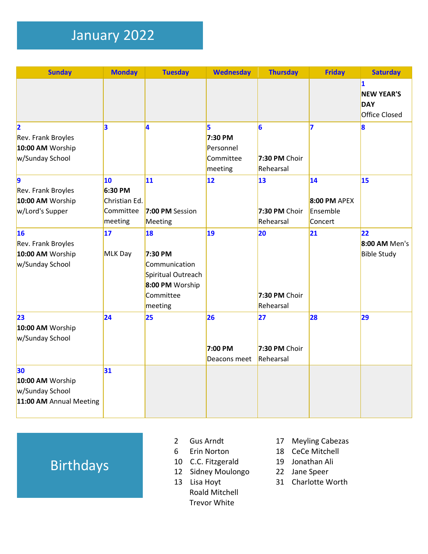# January 2022

| <b>Sunday</b>                                                        | <b>Monday</b>                                          | <b>Tuesday</b>                                                                                  | <b>Wednesday</b>                                  | <b>Thursday</b>                  | <b>Friday</b>                                     | <b>Saturday</b>                                              |
|----------------------------------------------------------------------|--------------------------------------------------------|-------------------------------------------------------------------------------------------------|---------------------------------------------------|----------------------------------|---------------------------------------------------|--------------------------------------------------------------|
|                                                                      |                                                        |                                                                                                 |                                                   |                                  |                                                   | 1<br><b>NEW YEAR'S</b><br><b>DAY</b><br><b>Office Closed</b> |
| 12<br>Rev. Frank Broyles<br>10:00 AM Worship<br>w/Sunday School      | 3                                                      | 4                                                                                               | 5<br>7:30 PM<br>Personnel<br>Committee<br>meeting | 6<br>7:30 PM Choir<br>Rehearsal  | 7                                                 | 8                                                            |
| 9<br>Rev. Frank Broyles<br>10:00 AM Worship<br>w/Lord's Supper       | 10<br>6:30 PM<br>Christian Ed.<br>Committee<br>meeting | 11<br>7:00 PM Session<br>Meeting                                                                | 12                                                | 13<br>7:30 PM Choir<br>Rehearsal | 14 <br><b>8:00 PM APEX</b><br>Ensemble<br>Concert | 15                                                           |
| 16<br>Rev. Frank Broyles<br>10:00 AM Worship<br>w/Sunday School      | 17<br>MLK Day                                          | 18<br>7:30 PM<br>Communication<br>Spiritual Outreach<br>8:00 PM Worship<br>Committee<br>meeting | 19                                                | 20<br>7:30 PM Choir<br>Rehearsal | 21                                                | 22<br>8:00 AM Men's<br><b>Bible Study</b>                    |
| 23<br>10:00 AM Worship<br>w/Sunday School                            | 24                                                     | 25                                                                                              | 26<br>7:00 PM<br>Deacons meet                     | 27<br>7:30 PM Choir<br>Rehearsal | 28                                                | 29                                                           |
| 30<br>10:00 AM Worship<br>w/Sunday School<br>11:00 AM Annual Meeting | 31                                                     |                                                                                                 |                                                   |                                  |                                                   |                                                              |

# Birthdays

- 2 Gus Arndt
- 6 Erin Norton
- 10 C.C. Fitzgerald
- 12 Sidney Moulongo
- 13 Lisa Hoyt Roald Mitchell Trevor White
- 17 Meyling Cabezas
- 18 CeCe Mitchell
- 19 Jonathan Ali
- 22 Jane Speer
- 31 Charlotte Worth